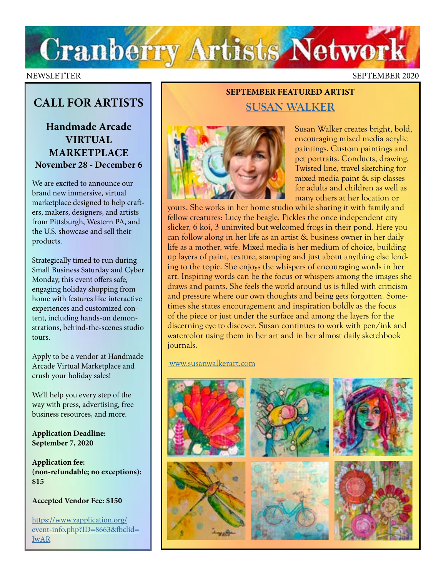

### NEWSLETTER SEPTEMBER 2020

## **CALL FOR ARTISTS**

**Handmade Arcade VIRTUAL MARKETPLACE November 28 - December 6** 

We are excited to announce our brand new immersive, virtual marketplace designed to help crafters, makers, designers, and artists from Pittsburgh, Western PA, and the U.S. showcase and sell their products.

Strategically timed to run during Small Business Saturday and Cyber Monday, this event offers safe, engaging holiday shopping from home with features like interactive experiences and customized content, including hands-on demonstrations, behind-the-scenes studio tours.

Apply to be a vendor at Handmade Arcade Virtual Marketplace and crush your holiday sales!

We'll help you every step of the way with press, advertising, free business resources, and more.

**Application Deadline: September 7, 2020**

**Application fee: (non-refundable; no exceptions): \$15**

**Accepted Vendor Fee: \$150**

[https://www.zapplication.org/](https://www.zapplication.org/event-info.php?ID=8663&fbclid=
IwAR) [event-info.php?ID=8663&fbclid=](https://www.zapplication.org/event-info.php?ID=8663&fbclid=
IwAR) [IwAR](https://www.zapplication.org/event-info.php?ID=8663&fbclid=
IwAR)

Susan Walker creates bright, bold, encouraging mixed media acrylic paintings. Custom paintings and pet portraits. Conducts, drawing, Twisted line, travel sketching for mixed media paint & sip classes for adults and children as well as many others at her location or

yours. She works in her home studio while sharing it with family and fellow creatures: Lucy the beagle, Pickles the once independent city slicker, 6 koi, 3 uninvited but welcomed frogs in their pond. Here you can follow along in her life as an artist & business owner in her daily life as a mother, wife. Mixed media is her medium of choice, building up layers of paint, texture, stamping and just about anything else lending to the topic. She enjoys the whispers of encouraging words in her art. Inspiring words can be the focus or whispers among the images she draws and paints. She feels the world around us is filled with criticism and pressure where our own thoughts and being gets forgotten. Sometimes she states encouragement and inspiration boldly as the focus of the piece or just under the surface and among the layers for the discerning eye to discover. Susan continues to work with pen/ink and watercolor using them in her art and in her almost daily sketchbook journals.

**SEPTEMBER FEATURED ARTIST**

**[SUSAN WALKER](https://susanwalker.art/)**

 [www.susanwalkerart.com](http://www.susanwalkerart.com)

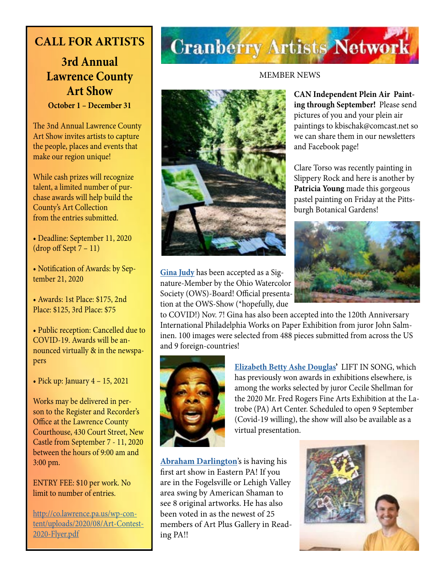## **CALL FOR ARTISTS**

## **3rd Annual Lawrence County Art Show October 1 – December 31**

The 3nd Annual Lawrence County Art Show invites artists to capture the people, places and events that make our region unique!

While cash prizes will recognize talent, a limited number of purchase awards will help build the County's Art Collection from the entries submitted.

• Deadline: September 11, 2020 (drop off Sept 7 – 11)

• Notification of Awards: by September 21, 2020

• Awards: 1st Place: \$175, 2nd Place: \$125, 3rd Place: \$75

• Public reception: Cancelled due to COVID-19. Awards will be announced virtually & in the newspapers

• Pick up: January  $4 - 15$ , 2021

Works may be delivered in person to the Register and Recorder's Office at the Lawrence County Courthouse, 430 Court Street, New Castle from September 7 - 11, 2020 between the hours of 9:00 am and 3:00 pm.

### ENTRY FEE: \$10 per work. No limit to number of entries.

[http://co.lawrence.pa.us/wp-con](http://co.lawrence.pa.us/wp-content/uploads/2020/08/Art-Contest-2020-Flyer.pdf)[tent/uploads/2020/08/Art-Contest-](http://co.lawrence.pa.us/wp-content/uploads/2020/08/Art-Contest-2020-Flyer.pdf)[2020-Flyer.pdf](http://co.lawrence.pa.us/wp-content/uploads/2020/08/Art-Contest-2020-Flyer.pdf)

## **Cranberry Artists Network**

### MEMBER NEWS

**CAN Independent Plein Air Painting through September!** Please send pictures of you and your plein air paintings to kbischak@comcast.net so we can share them in our newsletters and Facebook page!

Clare Torso was recently painting in Slippery Rock and here is another by **Patricia Young** made this gorgeous pastel painting on Friday at the Pittsburgh Botanical Gardens!



nature-Member by the Ohio Watercolor Society (OWS)-Board! Official presentation at the OWS-Show (\*hopefully, due to COVID!) Nov. 7! Gina has also been accepted into the 120th Anniversary International Philadelphia Works on Paper Exhibition from juror John Salminen. 100 images were selected from 488 pieces submitted from across the US

**[Gina Judy](http://www.ginajudyfineart.com/)** has been accepted as a Sig-



**[Elizabeth Betty Ashe Douglas](http://douglasartgallery.com/)'** LIFT IN SONG, which has previously won awards in exhibitions elsewhere, is among the works selected by juror Cecile Shellman for the 2020 Mr. Fred Rogers Fine Arts Exhibition at the Latrobe (PA) Art Center. Scheduled to open 9 September (Covid-19 willing), the show will also be available as a virtual presentation.

**[Abraham Darlington](http://punkmetalabstract.com)**'s is having his first art show in Eastern PA! If you are in the Fogelsville or Lehigh Valley area swing by American Shaman to see 8 original artworks. He has also been voted in as the newest of 25 members of Art Plus Gallery in Reading PA!!

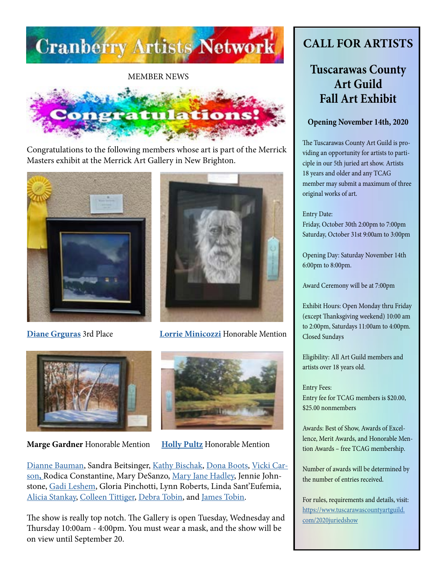

MEMBER NEWS



Congratulations to the following members whose art is part of the Merrick Masters exhibit at the Merrick Art Gallery in New Brighton.





**[Diane Grguras](https://www.dianegrguras.com/)** 3rd Place **[Lorrie Minicozzi](https://www.climbingthewalls.net/)** Honorable Mention



**Marge Gardner** Honorable Mention **[Holly Pultz](https://northhillsartcenter.org/resources/Documents/Shows/Holly%20Plutz%20Resume.pdf)** Honorable Mention



[Dianne Bauman](http://www.diannebauman.com), Sandra Beitsinger, [Kathy Bischak,](https://www.facebook.com/kathy.bischak) [Dona Boots](http://donabootsart.com), [Vicki Car](https://fineartamerica.com/profiles/vicki-carson/shop/prints)[son](https://fineartamerica.com/profiles/vicki-carson/shop/prints)**,** Rodica Constantine, Mary DeSanzo, [Mary Jane Hadley,](https://www.facebook.com/maryjane.hadley) Jennie Johnstone, [Gadi Leshem](https://www.instagram.com/gadi.leshem/?fbclid=IwAR2DUBzFzVETTgOL3qyNaepDyTv50MYhHeQ-N2B5DfRMVDEL3-d21-r26Ms), Gloria Pinchotti, Lynn Roberts, Linda Sant'Eufemia, [Alicia Stankay](https://www.facebook.com/alicia.stankay), [Colleen Tittiger,](http://colleentittiger.com) [Debra Tobin,](http://debratobinart.com) and [James Tobin.](http://jamestobinart.com)

The show is really top notch. The Gallery is open Tuesday, Wednesday and Thursday 10:00am - 4:00pm. You must wear a mask, and the show will be on view until September 20.

## **CALL FOR ARTISTS**

## **Tuscarawas County Art Guild Fall Art Exhibit**

### **Opening November 14th, 2020**

The Tuscarawas County Art Guild is providing an opportunity for artists to participle in our 5th juried art show. Artists 18 years and older and any TCAG member may submit a maximum of three original works of art.

### Entry Date:

Friday, October 30th 2:00pm to 7:00pm Saturday, October 31st 9:00am to 3:00pm

Opening Day: Saturday November 14th 6:00pm to 8:00pm.

Award Ceremony will be at 7:00pm

Exhibit Hours: Open Monday thru Friday (except Thanksgiving weekend) 10:00 am to 2:00pm, Saturdays 11:00am to 4:00pm. Closed Sundays

Eligibility: All Art Guild members and artists over 18 years old.

Entry Fees: Entry fee for TCAG members is \$20.00, \$25.00 nonmembers

Awards: Best of Show, Awards of Excellence, Merit Awards, and Honorable Mention Awards – free TCAG membership.

Number of awards will be determined by the number of entries received.

For rules, requirements and details, visit: [https://www.tuscarawascountyartguild.](https://www.tuscarawascountyartguild.com/2020juriedshow) [com/2020juriedshow](https://www.tuscarawascountyartguild.com/2020juriedshow)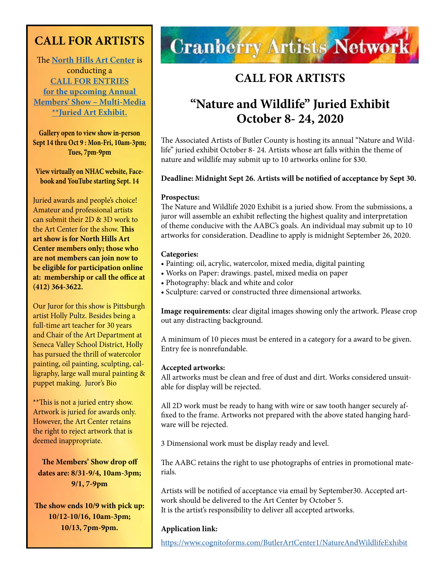## **CALL FOR ARTISTS**

The **[North Hills Art Center](https://northhillsartcenter.org/)** is conducting a **[CALL FOR ENTRIES](https://northhillsartcenter.org/resources/Documents/Shows/MembersShowCall%202020.jpg) [for the upcoming Annual](https://northhillsartcenter.org/resources/Documents/Shows/MembersShowCall%202020.jpg)  [Members' Show – Multi-Media](https://northhillsartcenter.org/resources/Documents/Shows/MembersShowCall%202020.jpg)  [\\*\\*Juried Art Exhibit.](https://northhillsartcenter.org/resources/Documents/Shows/MembersShowCall%202020.jpg)**

**Gallery open to view show in-person Sept 14 thru Oct 9 : Mon-Fri, 10am-3pm; Tues, 7pm-9pm**

**View virtually on NHAC website, Facebook and YouTube starting Sept. 14**

Juried awards and people's choice! Amateur and professional artists can submit their 2D & 3D work to the Art Center for the show. **This art show is for North Hills Art Center members only; those who are not members can join now to be eligible for participation online at: membership or call the office at (412) 364-3622.** 

Our Juror for this show is Pittsburgh artist Holly Pultz. Besides being a full-time art teacher for 30 years and Chair of the Art Department at Seneca Valley School District, Holly has pursued the thrill of watercolor painting, oil painting, sculpting, calligraphy, large wall mural painting & puppet making. Juror's Bio

\*\*This is not a juried entry show. Artwork is juried for awards only. However, the Art Center retains the right to reject artwork that is deemed inappropriate.

**The Members' Show drop off dates are: 8/31-9/4, 10am-3pm; 9/1, 7-9pm** 

**The show ends 10/9 with pick up: 10/12-10/16, 10am-3pm; 10/13, 7pm-9pm.**

# **Cranberry Artists Network**

## **CALL FOR ARTISTS**

## **"Nature and Wildlife" Juried Exhibit October 8- 24, 2020**

The Associated Artists of Butler County is hosting its annual "Nature and Wildlife" juried exhibit October 8- 24. Artists whose art falls within the theme of nature and wildlife may submit up to 10 artworks online for \$30.

### **Deadline: Midnight Sept 26. Artists will be notified of acceptance by Sept 30.**

### **Prospectus:**

The Nature and Wildlife 2020 Exhibit is a juried show. From the submissions, a juror will assemble an exhibit reflecting the highest quality and interpretation of theme conducive with the AABC's goals. An individual may submit up to 10 artworks for consideration. Deadline to apply is midnight September 26, 2020.

### **Categories:**

- Painting: oil, acrylic, watercolor, mixed media, digital painting
- Works on Paper: drawings. pastel, mixed media on paper
- Photography: black and white and color
- Sculpture: carved or constructed three dimensional artworks.

**Image requirements:** clear digital images showing only the artwork. Please crop out any distracting background.

A minimum of 10 pieces must be entered in a category for a award to be given. Entry fee is nonrefundable.

### **Accepted artworks:**

All artworks must be clean and free of dust and dirt. Works considered unsuitable for display will be rejected.

All 2D work must be ready to hang with wire or saw tooth hanger securely affixed to the frame. Artworks not prepared with the above stated hanging hardware will be rejected.

3 Dimensional work must be display ready and level.

The AABC retains the right to use photographs of entries in promotional materials.

Artists will be notified of acceptance via email by September30. Accepted artwork should be delivered to the Art Center by October 5. It is the artist's responsibility to deliver all accepted artworks.

### **Application link:**

<https://www.cognitoforms.com/ButlerArtCenter1/NatureAndWildlifeExhibit>